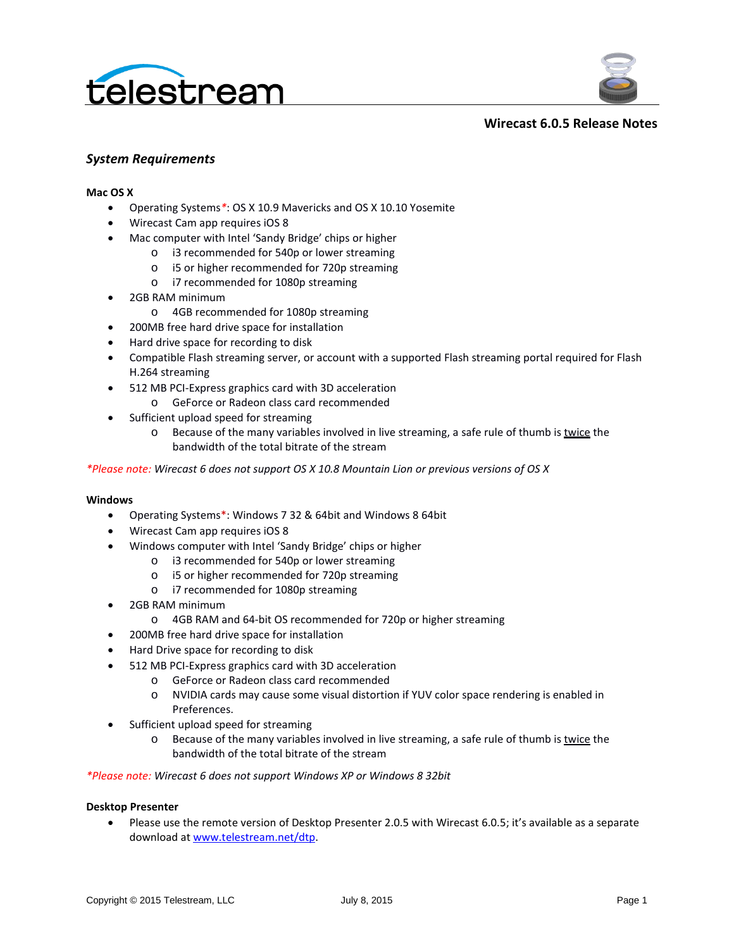



**Wirecast 6.0.5 Release Notes**

## *System Requirements*

#### **Mac OS X**

- Operating Systems*\**: OS X 10.9 Mavericks and OS X 10.10 Yosemite
- Wirecast Cam app requires iOS 8
- Mac computer with Intel 'Sandy Bridge' chips or higher
	- o i3 recommended for 540p or lower streaming
	- o i5 or higher recommended for 720p streaming
	- o i7 recommended for 1080p streaming
- 2GB RAM minimum
	- o 4GB recommended for 1080p streaming
- 200MB free hard drive space for installation
- Hard drive space for recording to disk
- Compatible Flash streaming server, or account with a supported Flash streaming portal required for Flash H.264 streaming
- 512 MB PCI-Express graphics card with 3D acceleration
	- o GeForce or Radeon class card recommended
- Sufficient upload speed for streaming
	- $\circ$  Because of the many variables involved in live streaming, a safe rule of thumb is twice the bandwidth of the total bitrate of the stream

*\*Please note: Wirecast 6 does not support OS X 10.8 Mountain Lion or previous versions of OS X*

#### **Windows**

- Operating Systems\*: Windows 7 32 & 64bit and Windows 8 64bit
- Wirecast Cam app requires iOS 8
- Windows computer with Intel 'Sandy Bridge' chips or higher
	- o i3 recommended for 540p or lower streaming
	- o i5 or higher recommended for 720p streaming
	- o i7 recommended for 1080p streaming
- 2GB RAM minimum
	- o 4GB RAM and 64-bit OS recommended for 720p or higher streaming
- 200MB free hard drive space for installation
- Hard Drive space for recording to disk
	- 512 MB PCI-Express graphics card with 3D acceleration
		- o GeForce or Radeon class card recommended
		- o NVIDIA cards may cause some visual distortion if YUV color space rendering is enabled in Preferences.
- Sufficient upload speed for streaming
	- $\circ$  Because of the many variables involved in live streaming, a safe rule of thumb is twice the bandwidth of the total bitrate of the stream

#### *\*Please note: Wirecast 6 does not support Windows XP or Windows 8 32bit*

#### **Desktop Presenter**

• Please use the remote version of Desktop Presenter 2.0.5 with Wirecast 6.0.5; it's available as a separate download at [www.telestream.net/dtp.](http://www.telestream.net/dtp)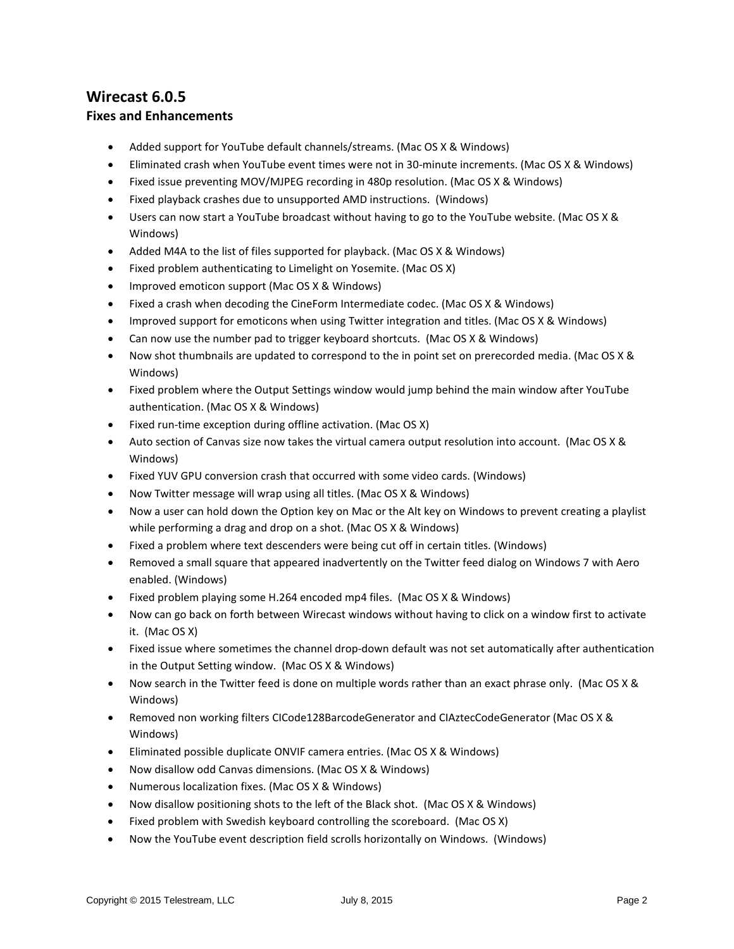# **Wirecast 6.0.5**

#### **Fixes and Enhancements**

- Added support for YouTube default channels/streams. (Mac OS X & Windows)
- Eliminated crash when YouTube event times were not in 30-minute increments. (Mac OS X & Windows)
- Fixed issue preventing MOV/MJPEG recording in 480p resolution. (Mac OS X & Windows)
- Fixed playback crashes due to unsupported AMD instructions. (Windows)
- Users can now start a YouTube broadcast without having to go to the YouTube website. (Mac OS X & Windows)
- Added M4A to the list of files supported for playback. (Mac OS X & Windows)
- Fixed problem authenticating to Limelight on Yosemite. (Mac OS X)
- Improved emoticon support (Mac OS X & Windows)
- Fixed a crash when decoding the CineForm Intermediate codec. (Mac OS X & Windows)
- Improved support for emoticons when using Twitter integration and titles. (Mac OS X & Windows)
- Can now use the number pad to trigger keyboard shortcuts. (Mac OS X & Windows)
- Now shot thumbnails are updated to correspond to the in point set on prerecorded media. (Mac OS X & Windows)
- Fixed problem where the Output Settings window would jump behind the main window after YouTube authentication. (Mac OS X & Windows)
- Fixed run-time exception during offline activation. (Mac OS X)
- Auto section of Canvas size now takes the virtual camera output resolution into account. (Mac OS X & Windows)
- Fixed YUV GPU conversion crash that occurred with some video cards. (Windows)
- Now Twitter message will wrap using all titles. (Mac OS X & Windows)
- Now a user can hold down the Option key on Mac or the Alt key on Windows to prevent creating a playlist while performing a drag and drop on a shot. (Mac OS X & Windows)
- Fixed a problem where text descenders were being cut off in certain titles. (Windows)
- Removed a small square that appeared inadvertently on the Twitter feed dialog on Windows 7 with Aero enabled. (Windows)
- Fixed problem playing some H.264 encoded mp4 files. (Mac OS X & Windows)
- Now can go back on forth between Wirecast windows without having to click on a window first to activate it. (Mac OS X)
- Fixed issue where sometimes the channel drop-down default was not set automatically after authentication in the Output Setting window. (Mac OS X & Windows)
- Now search in the Twitter feed is done on multiple words rather than an exact phrase only. (Mac OS X & Windows)
- Removed non working filters CICode128BarcodeGenerator and CIAztecCodeGenerator (Mac OS X & Windows)
- Eliminated possible duplicate ONVIF camera entries. (Mac OS X & Windows)
- Now disallow odd Canvas dimensions. (Mac OS X & Windows)
- Numerous localization fixes. (Mac OS X & Windows)
- Now disallow positioning shots to the left of the Black shot. (Mac OS X & Windows)
- Fixed problem with Swedish keyboard controlling the scoreboard. (Mac OS X)
- Now the YouTube event description field scrolls horizontally on Windows. (Windows)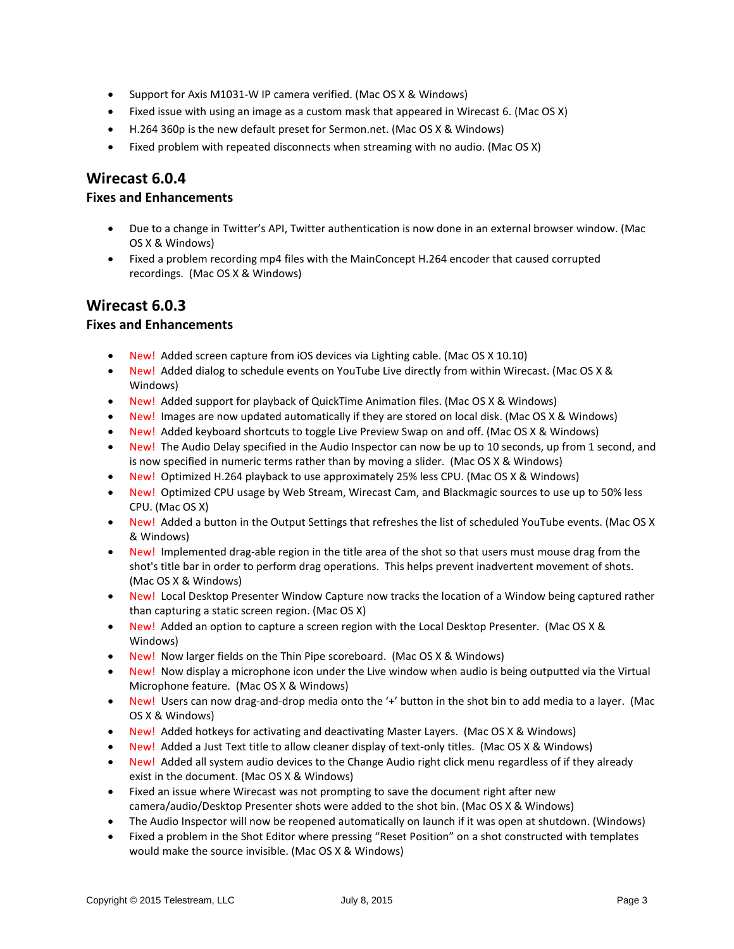- Support for Axis M1031-W IP camera verified. (Mac OS X & Windows)
- Fixed issue with using an image as a custom mask that appeared in Wirecast 6. (Mac OS X)
- H.264 360p is the new default preset for Sermon.net. (Mac OS X & Windows)
- Fixed problem with repeated disconnects when streaming with no audio. (Mac OS X)

## **Wirecast 6.0.4**

#### **Fixes and Enhancements**

- Due to a change in Twitter's API, Twitter authentication is now done in an external browser window. (Mac OS X & Windows)
- Fixed a problem recording mp4 files with the MainConcept H.264 encoder that caused corrupted recordings. (Mac OS X & Windows)

## **Wirecast 6.0.3**

## **Fixes and Enhancements**

- New! Added screen capture from iOS devices via Lighting cable. (Mac OS X 10.10)
- New! Added dialog to schedule events on YouTube Live directly from within Wirecast. (Mac OS X & Windows)
- New! Added support for playback of QuickTime Animation files. (Mac OS X & Windows)
- New! Images are now updated automatically if they are stored on local disk. (Mac OS X & Windows)
- New! Added keyboard shortcuts to toggle Live Preview Swap on and off. (Mac OS X & Windows)
- New! The Audio Delay specified in the Audio Inspector can now be up to 10 seconds, up from 1 second, and is now specified in numeric terms rather than by moving a slider. (Mac OS X & Windows)
- New! Optimized H.264 playback to use approximately 25% less CPU. (Mac OS X & Windows)
- New! Optimized CPU usage by Web Stream, Wirecast Cam, and Blackmagic sources to use up to 50% less CPU. (Mac OS X)
- New! Added a button in the Output Settings that refreshes the list of scheduled YouTube events. (Mac OS X & Windows)
- New! Implemented drag-able region in the title area of the shot so that users must mouse drag from the shot's title bar in order to perform drag operations. This helps prevent inadvertent movement of shots. (Mac OS X & Windows)
- New! Local Desktop Presenter Window Capture now tracks the location of a Window being captured rather than capturing a static screen region. (Mac OS X)
- New! Added an option to capture a screen region with the Local Desktop Presenter. (Mac OS X & Windows)
- New! Now larger fields on the Thin Pipe scoreboard. (Mac OS X & Windows)
- New! Now display a microphone icon under the Live window when audio is being outputted via the Virtual Microphone feature. (Mac OS X & Windows)
- New! Users can now drag-and-drop media onto the '+' button in the shot bin to add media to a layer. (Mac OS X & Windows)
- New! Added hotkeys for activating and deactivating Master Layers. (Mac OS X & Windows)
- New! Added a Just Text title to allow cleaner display of text-only titles. (Mac OS X & Windows)
- New! Added all system audio devices to the Change Audio right click menu regardless of if they already exist in the document. (Mac OS X & Windows)
- Fixed an issue where Wirecast was not prompting to save the document right after new camera/audio/Desktop Presenter shots were added to the shot bin. (Mac OS X & Windows)
- The Audio Inspector will now be reopened automatically on launch if it was open at shutdown. (Windows)
- Fixed a problem in the Shot Editor where pressing "Reset Position" on a shot constructed with templates would make the source invisible. (Mac OS X & Windows)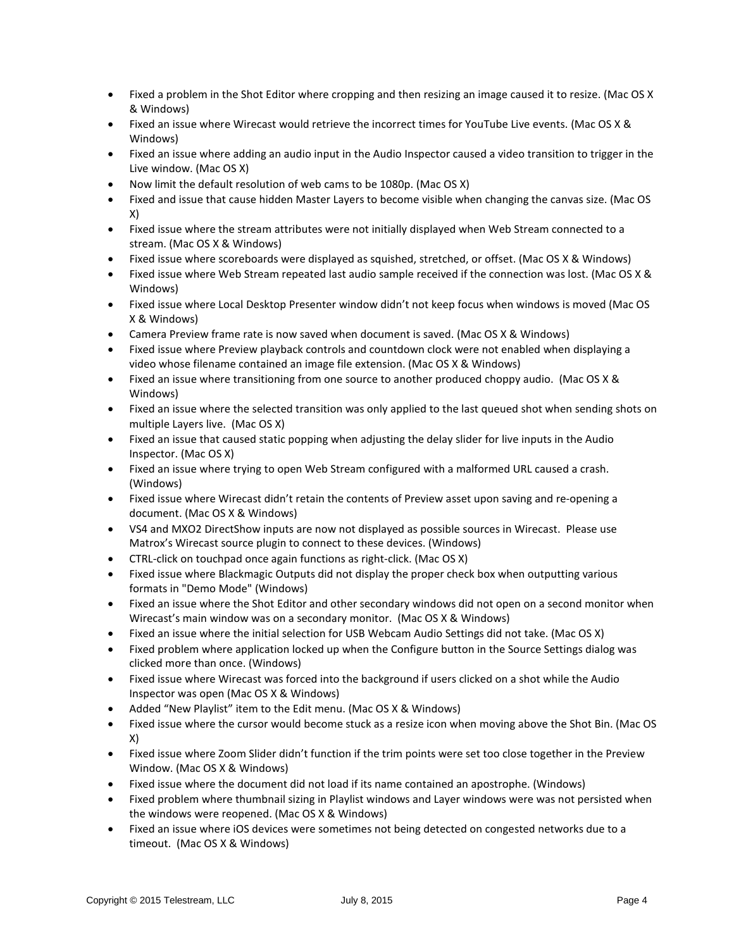- Fixed a problem in the Shot Editor where cropping and then resizing an image caused it to resize. (Mac OS X & Windows)
- Fixed an issue where Wirecast would retrieve the incorrect times for YouTube Live events. (Mac OS X & Windows)
- Fixed an issue where adding an audio input in the Audio Inspector caused a video transition to trigger in the Live window. (Mac OS X)
- Now limit the default resolution of web cams to be 1080p. (Mac OS X)
- Fixed and issue that cause hidden Master Layers to become visible when changing the canvas size. (Mac OS X)
- Fixed issue where the stream attributes were not initially displayed when Web Stream connected to a stream. (Mac OS X & Windows)
- Fixed issue where scoreboards were displayed as squished, stretched, or offset. (Mac OS X & Windows)
- Fixed issue where Web Stream repeated last audio sample received if the connection was lost. (Mac OS X & Windows)
- Fixed issue where Local Desktop Presenter window didn't not keep focus when windows is moved (Mac OS X & Windows)
- Camera Preview frame rate is now saved when document is saved. (Mac OS X & Windows)
- Fixed issue where Preview playback controls and countdown clock were not enabled when displaying a video whose filename contained an image file extension. (Mac OS X & Windows)
- Fixed an issue where transitioning from one source to another produced choppy audio. (Mac OS X & Windows)
- Fixed an issue where the selected transition was only applied to the last queued shot when sending shots on multiple Layers live. (Mac OS X)
- Fixed an issue that caused static popping when adjusting the delay slider for live inputs in the Audio Inspector. (Mac OS X)
- Fixed an issue where trying to open Web Stream configured with a malformed URL caused a crash. (Windows)
- Fixed issue where Wirecast didn't retain the contents of Preview asset upon saving and re-opening a document. (Mac OS X & Windows)
- VS4 and MXO2 DirectShow inputs are now not displayed as possible sources in Wirecast. Please use Matrox's Wirecast source plugin to connect to these devices. (Windows)
- CTRL-click on touchpad once again functions as right-click. (Mac OS X)
- Fixed issue where Blackmagic Outputs did not display the proper check box when outputting various formats in "Demo Mode" (Windows)
- Fixed an issue where the Shot Editor and other secondary windows did not open on a second monitor when Wirecast's main window was on a secondary monitor. (Mac OS X & Windows)
- Fixed an issue where the initial selection for USB Webcam Audio Settings did not take. (Mac OS X)
- Fixed problem where application locked up when the Configure button in the Source Settings dialog was clicked more than once. (Windows)
- Fixed issue where Wirecast was forced into the background if users clicked on a shot while the Audio Inspector was open (Mac OS X & Windows)
- Added "New Playlist" item to the Edit menu. (Mac OS X & Windows)
- Fixed issue where the cursor would become stuck as a resize icon when moving above the Shot Bin. (Mac OS X)
- Fixed issue where Zoom Slider didn't function if the trim points were set too close together in the Preview Window. (Mac OS X & Windows)
- Fixed issue where the document did not load if its name contained an apostrophe. (Windows)
- Fixed problem where thumbnail sizing in Playlist windows and Layer windows were was not persisted when the windows were reopened. (Mac OS X & Windows)
- Fixed an issue where iOS devices were sometimes not being detected on congested networks due to a timeout. (Mac OS X & Windows)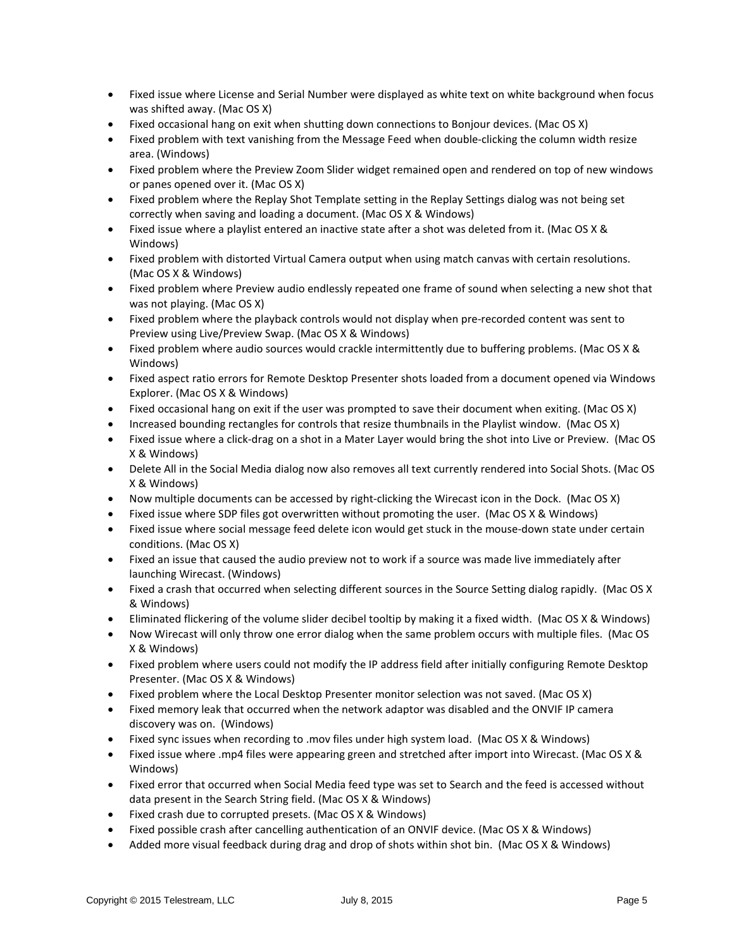- Fixed issue where License and Serial Number were displayed as white text on white background when focus was shifted away. (Mac OS X)
- Fixed occasional hang on exit when shutting down connections to Bonjour devices. (Mac OS X)
- Fixed problem with text vanishing from the Message Feed when double-clicking the column width resize area. (Windows)
- Fixed problem where the Preview Zoom Slider widget remained open and rendered on top of new windows or panes opened over it. (Mac OS X)
- Fixed problem where the Replay Shot Template setting in the Replay Settings dialog was not being set correctly when saving and loading a document. (Mac OS X & Windows)
- Fixed issue where a playlist entered an inactive state after a shot was deleted from it. (Mac OS X & Windows)
- Fixed problem with distorted Virtual Camera output when using match canvas with certain resolutions. (Mac OS X & Windows)
- Fixed problem where Preview audio endlessly repeated one frame of sound when selecting a new shot that was not playing. (Mac OS X)
- Fixed problem where the playback controls would not display when pre-recorded content was sent to Preview using Live/Preview Swap. (Mac OS X & Windows)
- Fixed problem where audio sources would crackle intermittently due to buffering problems. (Mac OS X & Windows)
- Fixed aspect ratio errors for Remote Desktop Presenter shots loaded from a document opened via Windows Explorer. (Mac OS X & Windows)
- Fixed occasional hang on exit if the user was prompted to save their document when exiting. (Mac OS X)
- Increased bounding rectangles for controls that resize thumbnails in the Playlist window. (Mac OS X)
- Fixed issue where a click-drag on a shot in a Mater Layer would bring the shot into Live or Preview. (Mac OS X & Windows)
- Delete All in the Social Media dialog now also removes all text currently rendered into Social Shots. (Mac OS X & Windows)
- Now multiple documents can be accessed by right-clicking the Wirecast icon in the Dock. (Mac OS X)
- Fixed issue where SDP files got overwritten without promoting the user. (Mac OS X & Windows)
- Fixed issue where social message feed delete icon would get stuck in the mouse-down state under certain conditions. (Mac OS X)
- Fixed an issue that caused the audio preview not to work if a source was made live immediately after launching Wirecast. (Windows)
- Fixed a crash that occurred when selecting different sources in the Source Setting dialog rapidly. (Mac OS X & Windows)
- Eliminated flickering of the volume slider decibel tooltip by making it a fixed width. (Mac OS X & Windows)
- Now Wirecast will only throw one error dialog when the same problem occurs with multiple files. (Mac OS X & Windows)
- Fixed problem where users could not modify the IP address field after initially configuring Remote Desktop Presenter. (Mac OS X & Windows)
- Fixed problem where the Local Desktop Presenter monitor selection was not saved. (Mac OS X)
- Fixed memory leak that occurred when the network adaptor was disabled and the ONVIF IP camera discovery was on. (Windows)
- Fixed sync issues when recording to .mov files under high system load. (Mac OS X & Windows)
- Fixed issue where .mp4 files were appearing green and stretched after import into Wirecast. (Mac OS X & Windows)
- Fixed error that occurred when Social Media feed type was set to Search and the feed is accessed without data present in the Search String field. (Mac OS X & Windows)
- Fixed crash due to corrupted presets. (Mac OS X & Windows)
- Fixed possible crash after cancelling authentication of an ONVIF device. (Mac OS X & Windows)
- Added more visual feedback during drag and drop of shots within shot bin. (Mac OS X & Windows)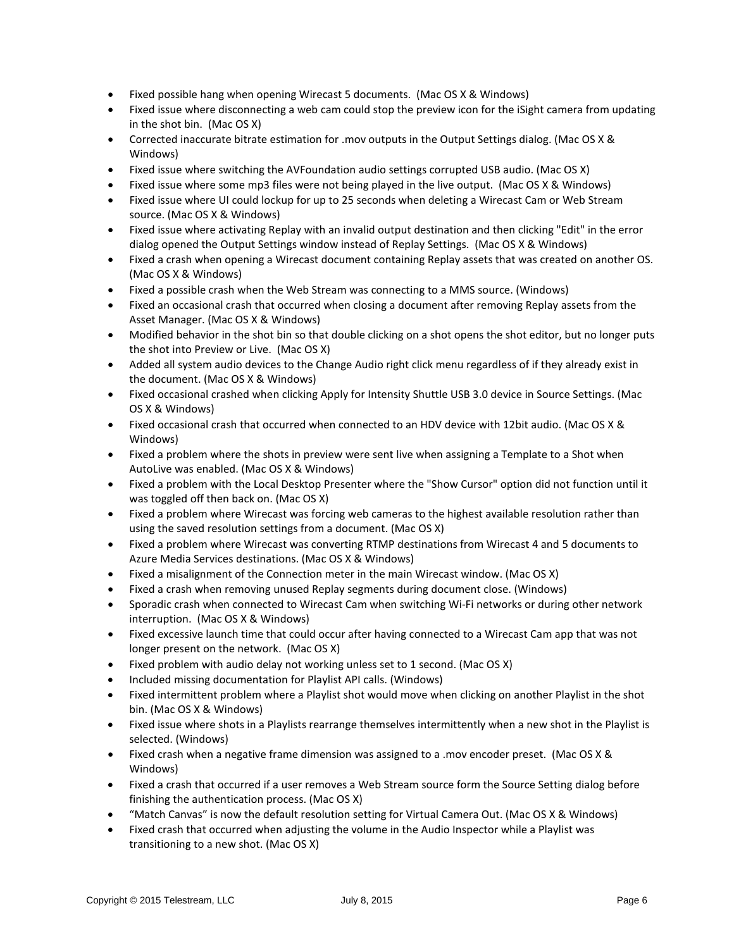- Fixed possible hang when opening Wirecast 5 documents. (Mac OS X & Windows)
- Fixed issue where disconnecting a web cam could stop the preview icon for the iSight camera from updating in the shot bin. (Mac OS X)
- Corrected inaccurate bitrate estimation for .mov outputs in the Output Settings dialog. (Mac OS X & Windows)
- Fixed issue where switching the AVFoundation audio settings corrupted USB audio. (Mac OS X)
- Fixed issue where some mp3 files were not being played in the live output. (Mac OS X & Windows)
- Fixed issue where UI could lockup for up to 25 seconds when deleting a Wirecast Cam or Web Stream source. (Mac OS X & Windows)
- Fixed issue where activating Replay with an invalid output destination and then clicking "Edit" in the error dialog opened the Output Settings window instead of Replay Settings. (Mac OS X & Windows)
- Fixed a crash when opening a Wirecast document containing Replay assets that was created on another OS. (Mac OS X & Windows)
- Fixed a possible crash when the Web Stream was connecting to a MMS source. (Windows)
- Fixed an occasional crash that occurred when closing a document after removing Replay assets from the Asset Manager. (Mac OS X & Windows)
- Modified behavior in the shot bin so that double clicking on a shot opens the shot editor, but no longer puts the shot into Preview or Live. (Mac OS X)
- Added all system audio devices to the Change Audio right click menu regardless of if they already exist in the document. (Mac OS X & Windows)
- Fixed occasional crashed when clicking Apply for Intensity Shuttle USB 3.0 device in Source Settings. (Mac OS X & Windows)
- Fixed occasional crash that occurred when connected to an HDV device with 12bit audio. (Mac OS X & Windows)
- Fixed a problem where the shots in preview were sent live when assigning a Template to a Shot when AutoLive was enabled. (Mac OS X & Windows)
- Fixed a problem with the Local Desktop Presenter where the "Show Cursor" option did not function until it was toggled off then back on. (Mac OS X)
- Fixed a problem where Wirecast was forcing web cameras to the highest available resolution rather than using the saved resolution settings from a document. (Mac OS X)
- Fixed a problem where Wirecast was converting RTMP destinations from Wirecast 4 and 5 documents to Azure Media Services destinations. (Mac OS X & Windows)
- Fixed a misalignment of the Connection meter in the main Wirecast window. (Mac OS X)
- Fixed a crash when removing unused Replay segments during document close. (Windows)
- Sporadic crash when connected to Wirecast Cam when switching Wi-Fi networks or during other network interruption. (Mac OS X & Windows)
- Fixed excessive launch time that could occur after having connected to a Wirecast Cam app that was not longer present on the network. (Mac OS X)
- Fixed problem with audio delay not working unless set to 1 second. (Mac OS X)
- Included missing documentation for Playlist API calls. (Windows)
- Fixed intermittent problem where a Playlist shot would move when clicking on another Playlist in the shot bin. (Mac OS X & Windows)
- Fixed issue where shots in a Playlists rearrange themselves intermittently when a new shot in the Playlist is selected. (Windows)
- Fixed crash when a negative frame dimension was assigned to a .mov encoder preset. (Mac OS X & Windows)
- Fixed a crash that occurred if a user removes a Web Stream source form the Source Setting dialog before finishing the authentication process. (Mac OS X)
- "Match Canvas" is now the default resolution setting for Virtual Camera Out. (Mac OS X & Windows)
- Fixed crash that occurred when adjusting the volume in the Audio Inspector while a Playlist was transitioning to a new shot. (Mac OS X)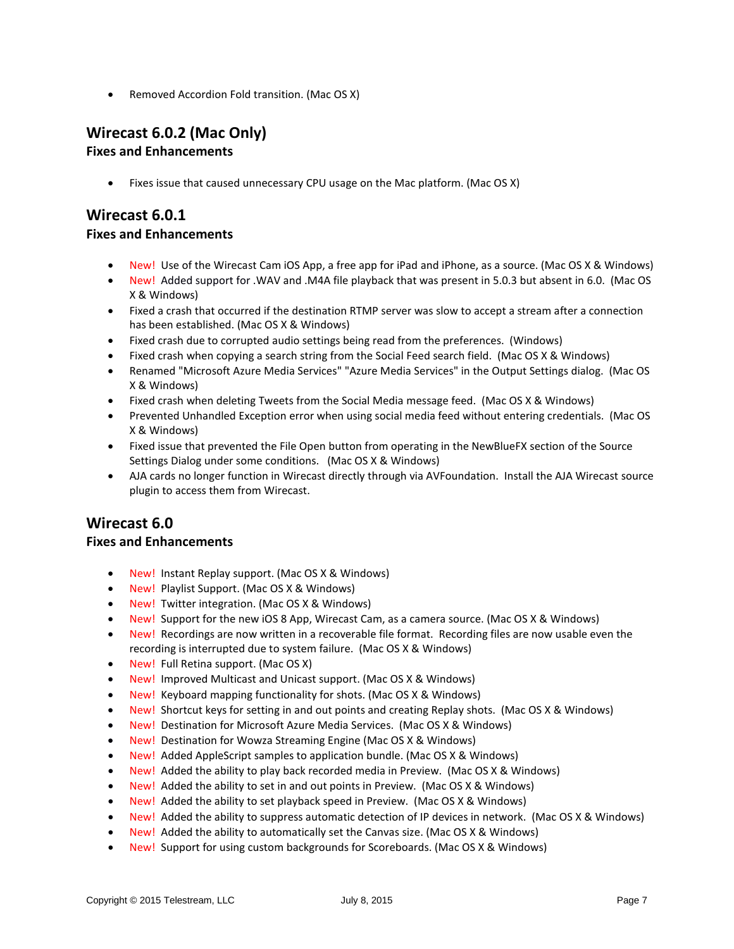• Removed Accordion Fold transition. (Mac OS X)

# **Wirecast 6.0.2 (Mac Only)**

## **Fixes and Enhancements**

• Fixes issue that caused unnecessary CPU usage on the Mac platform. (Mac OS X)

# **Wirecast 6.0.1**

#### **Fixes and Enhancements**

- New! Use of the Wirecast Cam iOS App, a free app for iPad and iPhone, as a source. (Mac OS X & Windows)
- New! Added support for .WAV and .M4A file playback that was present in 5.0.3 but absent in 6.0. (Mac OS X & Windows)
- Fixed a crash that occurred if the destination RTMP server was slow to accept a stream after a connection has been established. (Mac OS X & Windows)
- Fixed crash due to corrupted audio settings being read from the preferences. (Windows)
- Fixed crash when copying a search string from the Social Feed search field. (Mac OS X & Windows)
- Renamed "Microsoft Azure Media Services" "Azure Media Services" in the Output Settings dialog. (Mac OS X & Windows)
- Fixed crash when deleting Tweets from the Social Media message feed. (Mac OS X & Windows)
- Prevented Unhandled Exception error when using social media feed without entering credentials. (Mac OS X & Windows)
- Fixed issue that prevented the File Open button from operating in the NewBlueFX section of the Source Settings Dialog under some conditions. (Mac OS X & Windows)
- AJA cards no longer function in Wirecast directly through via AVFoundation. Install the AJA Wirecast source plugin to access them from Wirecast.

# **Wirecast 6.0**

## **Fixes and Enhancements**

- New! Instant Replay support. (Mac OS X & Windows)
- New! Playlist Support. (Mac OS X & Windows)
- New! Twitter integration. (Mac OS X & Windows)
- New! Support for the new iOS 8 App, Wirecast Cam, as a camera source. (Mac OS X & Windows)
- New! Recordings are now written in a recoverable file format. Recording files are now usable even the recording is interrupted due to system failure. (Mac OS X & Windows)
- New! Full Retina support. (Mac OS X)
- New! Improved Multicast and Unicast support. (Mac OS X & Windows)
- New! Keyboard mapping functionality for shots. (Mac OS X & Windows)
- New! Shortcut keys for setting in and out points and creating Replay shots. (Mac OS X & Windows)
- New! Destination for Microsoft Azure Media Services. (Mac OS X & Windows)
- New! Destination for Wowza Streaming Engine (Mac OS X & Windows)
- New! Added AppleScript samples to application bundle. (Mac OS X & Windows)
- New! Added the ability to play back recorded media in Preview. (Mac OS X & Windows)
- New! Added the ability to set in and out points in Preview. (Mac OS X & Windows)
- New! Added the ability to set playback speed in Preview. (Mac OS X & Windows)
- New! Added the ability to suppress automatic detection of IP devices in network. (Mac OS X & Windows)
- New! Added the ability to automatically set the Canvas size. (Mac OS X & Windows)
- New! Support for using custom backgrounds for Scoreboards. (Mac OS X & Windows)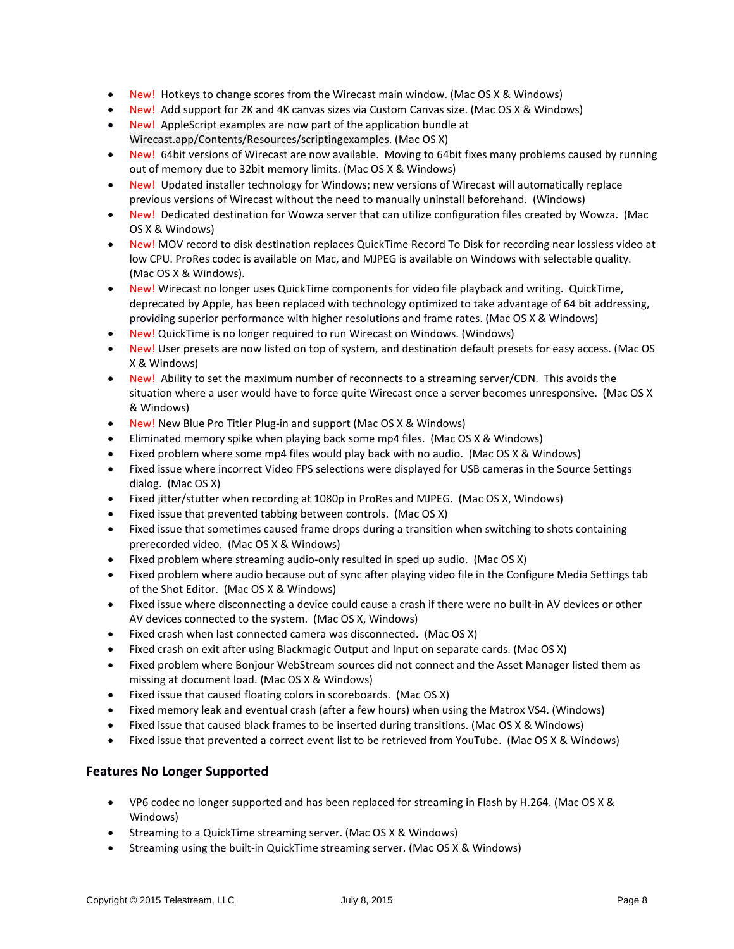- New! Hotkeys to change scores from the Wirecast main window. (Mac OS X & Windows)
- New! Add support for 2K and 4K canvas sizes via Custom Canvas size. (Mac OS X & Windows)
- New! AppleScript examples are now part of the application bundle at Wirecast.app/Contents/Resources/scriptingexamples. (Mac OS X)
- New! 64bit versions of Wirecast are now available. Moving to 64bit fixes many problems caused by running out of memory due to 32bit memory limits. (Mac OS X & Windows)
- New! Updated installer technology for Windows; new versions of Wirecast will automatically replace previous versions of Wirecast without the need to manually uninstall beforehand. (Windows)
- New! Dedicated destination for Wowza server that can utilize configuration files created by Wowza. (Mac OS X & Windows)
- New! MOV record to disk destination replaces QuickTime Record To Disk for recording near lossless video at low CPU. ProRes codec is available on Mac, and MJPEG is available on Windows with selectable quality. (Mac OS X & Windows).
- New! Wirecast no longer uses QuickTime components for video file playback and writing. QuickTime, deprecated by Apple, has been replaced with technology optimized to take advantage of 64 bit addressing, providing superior performance with higher resolutions and frame rates. (Mac OS X & Windows)
- New! QuickTime is no longer required to run Wirecast on Windows. (Windows)
- New! User presets are now listed on top of system, and destination default presets for easy access. (Mac OS X & Windows)
- New! Ability to set the maximum number of reconnects to a streaming server/CDN. This avoids the situation where a user would have to force quite Wirecast once a server becomes unresponsive. (Mac OS X & Windows)
- New! New Blue Pro Titler Plug-in and support (Mac OS X & Windows)
- Eliminated memory spike when playing back some mp4 files. (Mac OS X & Windows)
- Fixed problem where some mp4 files would play back with no audio. (Mac OS X & Windows)
- Fixed issue where incorrect Video FPS selections were displayed for USB cameras in the Source Settings dialog. (Mac OS X)
- Fixed jitter/stutter when recording at 1080p in ProRes and MJPEG. (Mac OS X, Windows)
- Fixed issue that prevented tabbing between controls. (Mac OS X)
- Fixed issue that sometimes caused frame drops during a transition when switching to shots containing prerecorded video. (Mac OS X & Windows)
- Fixed problem where streaming audio-only resulted in sped up audio. (Mac OS X)
- Fixed problem where audio because out of sync after playing video file in the Configure Media Settings tab of the Shot Editor. (Mac OS X & Windows)
- Fixed issue where disconnecting a device could cause a crash if there were no built-in AV devices or other AV devices connected to the system. (Mac OS X, Windows)
- Fixed crash when last connected camera was disconnected. (Mac OS X)
- Fixed crash on exit after using Blackmagic Output and Input on separate cards. (Mac OS X)
- Fixed problem where Bonjour WebStream sources did not connect and the Asset Manager listed them as missing at document load. (Mac OS X & Windows)
- Fixed issue that caused floating colors in scoreboards. (Mac OS X)
- Fixed memory leak and eventual crash (after a few hours) when using the Matrox VS4. (Windows)
- Fixed issue that caused black frames to be inserted during transitions. (Mac OS X & Windows)
- Fixed issue that prevented a correct event list to be retrieved from YouTube. (Mac OS X & Windows)

## **Features No Longer Supported**

- VP6 codec no longer supported and has been replaced for streaming in Flash by H.264. (Mac OS X & Windows)
- Streaming to a QuickTime streaming server. (Mac OS X & Windows)
- Streaming using the built-in QuickTime streaming server. (Mac OS X & Windows)